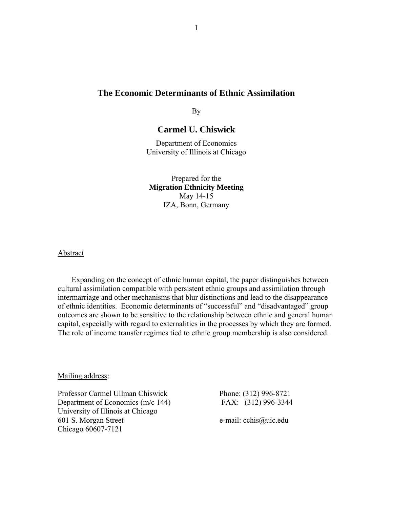# **The Economic Determinants of Ethnic Assimilation**

By

# **Carmel U. Chiswick**

Department of Economics University of Illinois at Chicago

Prepared for the **Migration Ethnicity Meeting**  May 14-15 IZA, Bonn, Germany

Abstract

Expanding on the concept of ethnic human capital, the paper distinguishes between cultural assimilation compatible with persistent ethnic groups and assimilation through intermarriage and other mechanisms that blur distinctions and lead to the disappearance of ethnic identities. Economic determinants of "successful" and "disadvantaged" group outcomes are shown to be sensitive to the relationship between ethnic and general human capital, especially with regard to externalities in the processes by which they are formed. The role of income transfer regimes tied to ethnic group membership is also considered.

Mailing address:

Professor Carmel Ullman Chiswick Phone: (312) 996-8721 Department of Economics (m/c 144) FAX: (312) 996-3344 University of Illinois at Chicago 601 S. Morgan Street e-mail: cchis@uic.edu Chicago 60607-7121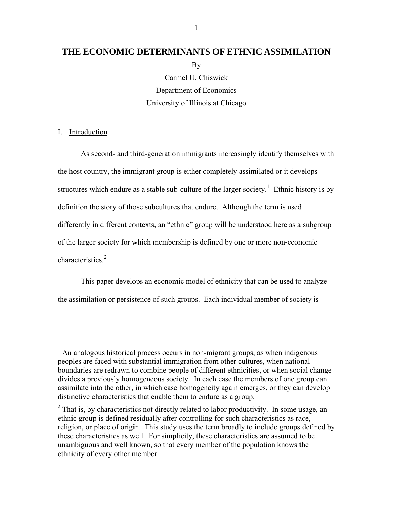# **THE ECONOMIC DETERMINANTS OF ETHNIC ASSIMILATION**

**B**<sub>V</sub>

Carmel U. Chiswick Department of Economics University of Illinois at Chicago

# I. Introduction

 $\overline{a}$ 

As second- and third-generation immigrants increasingly identify themselves with the host country, the immigrant group is either completely assimilated or it develops structures which endure as a stable sub-culture of the larger society.<sup>[1](#page-1-0)</sup> Ethnic history is by definition the story of those subcultures that endure. Although the term is used differently in different contexts, an "ethnic" group will be understood here as a subgroup of the larger society for which membership is defined by one or more non-economic characteristics.<sup>[2](#page-1-1)</sup>

This paper develops an economic model of ethnicity that can be used to analyze the assimilation or persistence of such groups. Each individual member of society is

<span id="page-1-0"></span><sup>&</sup>lt;sup>1</sup> An analogous historical process occurs in non-migrant groups, as when indigenous peoples are faced with substantial immigration from other cultures, when national boundaries are redrawn to combine people of different ethnicities, or when social change divides a previously homogeneous society. In each case the members of one group can assimilate into the other, in which case homogeneity again emerges, or they can develop distinctive characteristics that enable them to endure as a group.

<span id="page-1-1"></span> $2$  That is, by characteristics not directly related to labor productivity. In some usage, an ethnic group is defined residually after controlling for such characteristics as race, religion, or place of origin. This study uses the term broadly to include groups defined by these characteristics as well. For simplicity, these characteristics are assumed to be unambiguous and well known, so that every member of the population knows the ethnicity of every other member.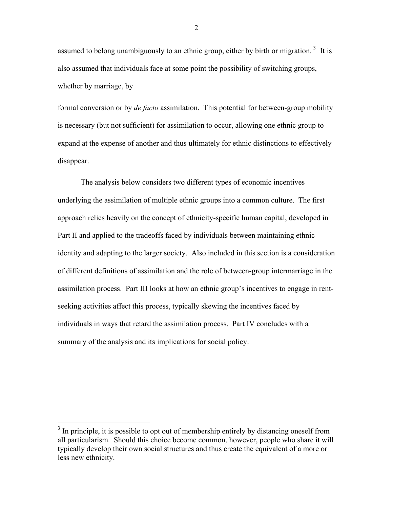assumed to belong unambiguously to an ethnic group, either by birth or migration.<sup>[3](#page-2-0)</sup> It is also assumed that individuals face at some point the possibility of switching groups, whether by marriage, by

formal conversion or by *de facto* assimilation. This potential for between-group mobility is necessary (but not sufficient) for assimilation to occur, allowing one ethnic group to expand at the expense of another and thus ultimately for ethnic distinctions to effectively disappear.

The analysis below considers two different types of economic incentives underlying the assimilation of multiple ethnic groups into a common culture. The first approach relies heavily on the concept of ethnicity-specific human capital, developed in Part II and applied to the tradeoffs faced by individuals between maintaining ethnic identity and adapting to the larger society. Also included in this section is a consideration of different definitions of assimilation and the role of between-group intermarriage in the assimilation process. Part III looks at how an ethnic group's incentives to engage in rentseeking activities affect this process, typically skewing the incentives faced by individuals in ways that retard the assimilation process. Part IV concludes with a summary of the analysis and its implications for social policy.

 $\overline{a}$ 

<span id="page-2-0"></span> $3$  In principle, it is possible to opt out of membership entirely by distancing oneself from all particularism. Should this choice become common, however, people who share it will typically develop their own social structures and thus create the equivalent of a more or less new ethnicity.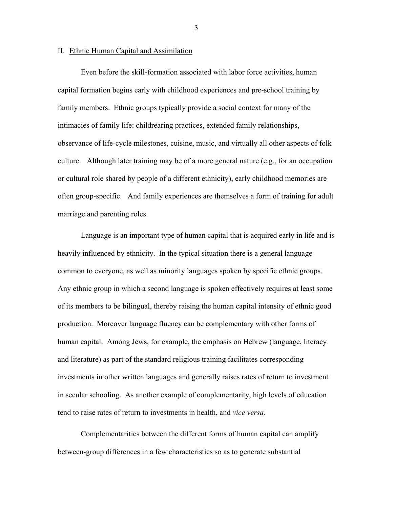#### II. Ethnic Human Capital and Assimilation

Even before the skill-formation associated with labor force activities, human capital formation begins early with childhood experiences and pre-school training by family members. Ethnic groups typically provide a social context for many of the intimacies of family life: childrearing practices, extended family relationships, observance of life-cycle milestones, cuisine, music, and virtually all other aspects of folk culture. Although later training may be of a more general nature (e.g., for an occupation or cultural role shared by people of a different ethnicity), early childhood memories are often group-specific. And family experiences are themselves a form of training for adult marriage and parenting roles.

Language is an important type of human capital that is acquired early in life and is heavily influenced by ethnicity. In the typical situation there is a general language common to everyone, as well as minority languages spoken by specific ethnic groups. Any ethnic group in which a second language is spoken effectively requires at least some of its members to be bilingual, thereby raising the human capital intensity of ethnic good production. Moreover language fluency can be complementary with other forms of human capital. Among Jews, for example, the emphasis on Hebrew (language, literacy and literature) as part of the standard religious training facilitates corresponding investments in other written languages and generally raises rates of return to investment in secular schooling. As another example of complementarity, high levels of education tend to raise rates of return to investments in health, and *vice versa.*

Complementarities between the different forms of human capital can amplify between-group differences in a few characteristics so as to generate substantial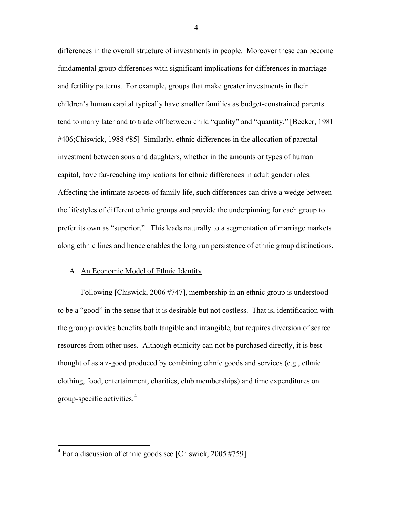differences in the overall structure of investments in people. Moreover these can become fundamental group differences with significant implications for differences in marriage and fertility patterns. For example, groups that make greater investments in their children's human capital typically have smaller families as budget-constrained parents tend to marry later and to trade off between child "quality" and "quantity." [Becker, 1981 #406;Chiswick, 1988 #85] Similarly, ethnic differences in the allocation of parental investment between sons and daughters, whether in the amounts or types of human capital, have far-reaching implications for ethnic differences in adult gender roles. Affecting the intimate aspects of family life, such differences can drive a wedge between the lifestyles of different ethnic groups and provide the underpinning for each group to prefer its own as "superior." This leads naturally to a segmentation of marriage markets along ethnic lines and hence enables the long run persistence of ethnic group distinctions.

## A. An Economic Model of Ethnic Identity

Following [Chiswick, 2006 #747], membership in an ethnic group is understood to be a "good" in the sense that it is desirable but not costless. That is, identification with the group provides benefits both tangible and intangible, but requires diversion of scarce resources from other uses. Although ethnicity can not be purchased directly, it is best thought of as a z-good produced by combining ethnic goods and services (e.g., ethnic clothing, food, entertainment, charities, club memberships) and time expenditures on group-specific activities.<sup>[4](#page-4-0)</sup>

<span id="page-4-0"></span><sup>&</sup>lt;sup>4</sup> For a discussion of ethnic goods see [Chiswick, 2005 #759]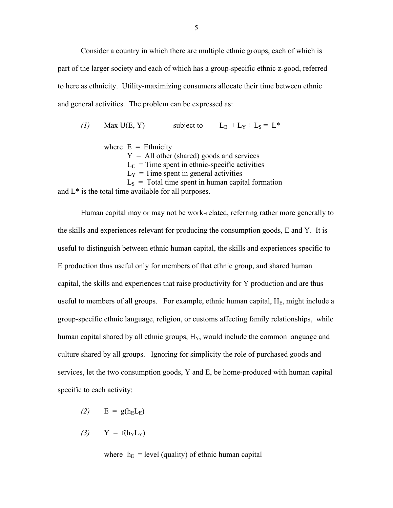Consider a country in which there are multiple ethnic groups, each of which is part of the larger society and each of which has a group-specific ethnic z-good, referred to here as ethnicity. Utility-maximizing consumers allocate their time between ethnic and general activities. The problem can be expressed as:

*(1)* Max U(E, Y) subject to  $L_E + L_Y + L_S = L^*$ where  $E =$  Ethnicity  $Y = All other (shared) goods and services$  $L<sub>E</sub>$  = Time spent in ethnic-specific activities  $L_Y$  = Time spent in general activities  $L<sub>S</sub>$  = Total time spent in human capital formation and L\* is the total time available for all purposes.

Human capital may or may not be work-related, referring rather more generally to the skills and experiences relevant for producing the consumption goods, E and Y. It is useful to distinguish between ethnic human capital, the skills and experiences specific to E production thus useful only for members of that ethnic group, and shared human capital, the skills and experiences that raise productivity for Y production and are thus useful to members of all groups. For example, ethnic human capital,  $H_E$ , might include a group-specific ethnic language, religion, or customs affecting family relationships, while human capital shared by all ethnic groups,  $H<sub>Y</sub>$ , would include the common language and culture shared by all groups. Ignoring for simplicity the role of purchased goods and services, let the two consumption goods, Y and E, be home-produced with human capital specific to each activity:

- $(2)$  E =  $g(h<sub>E</sub>L<sub>E</sub>)$
- $(3)$  Y =  $f(h_YL_Y)$

where  $h_E$  = level (quality) of ethnic human capital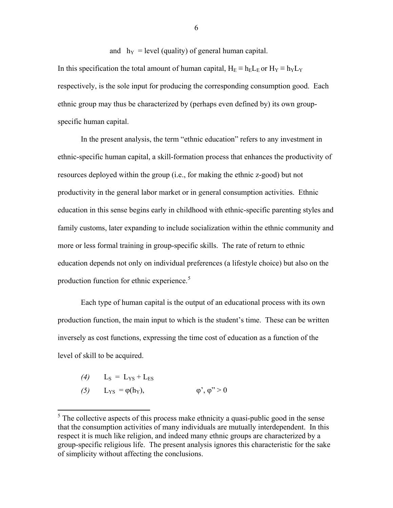and  $h_Y$  = level (quality) of general human capital. In this specification the total amount of human capital,  $H_E \equiv h_E L_E$  or  $H_Y \equiv h_Y L_Y$ respectively, is the sole input for producing the corresponding consumption good. Each ethnic group may thus be characterized by (perhaps even defined by) its own groupspecific human capital.

In the present analysis, the term "ethnic education" refers to any investment in ethnic-specific human capital, a skill-formation process that enhances the productivity of resources deployed within the group (i.e., for making the ethnic z-good) but not productivity in the general labor market or in general consumption activities. Ethnic education in this sense begins early in childhood with ethnic-specific parenting styles and family customs, later expanding to include socialization within the ethnic community and more or less formal training in group-specific skills. The rate of return to ethnic education depends not only on individual preferences (a lifestyle choice) but also on the production function for ethnic experience.<sup>[5](#page-6-0)</sup>

Each type of human capital is the output of an educational process with its own production function, the main input to which is the student's time. These can be written inversely as cost functions, expressing the time cost of education as a function of the level of skill to be acquired.

- $(4)$  L<sub>S</sub> = L<sub>YS</sub> + L<sub>ES</sub>
- *(5)* L<sub>YS</sub> =  $\varphi$ (h<sub>Y</sub>),  $\varphi$ <sup>'</sup>,  $\varphi$ <sup>'</sup> > 0

<span id="page-6-0"></span><sup>&</sup>lt;sup>5</sup> The collective aspects of this process make ethnicity a quasi-public good in the sense that the consumption activities of many individuals are mutually interdependent. In this respect it is much like religion, and indeed many ethnic groups are characterized by a group-specific religious life. The present analysis ignores this characteristic for the sake of simplicity without affecting the conclusions.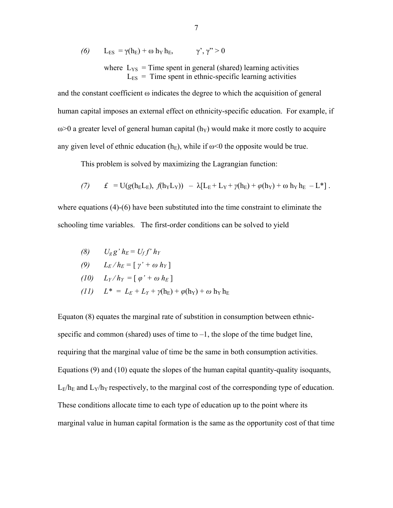(6) 
$$
L_{ES} = \gamma(h_E) + \omega h_Y h_E, \qquad \gamma', \gamma'' > 0
$$

where  $L_{YS}$  = Time spent in general (shared) learning activities  $L_{ES}$  = Time spent in ethnic-specific learning activities

and the constant coefficient  $\omega$  indicates the degree to which the acquisition of general human capital imposes an external effect on ethnicity-specific education. For example, if  $\omega$  a greater level of general human capital (h<sub>Y</sub>) would make it more costly to acquire any given level of ethnic education (h<sub>E</sub>), while if  $\omega$ <0 the opposite would be true.

This problem is solved by maximizing the Lagrangian function:

(7) 
$$
f = U(g(h_E L_E), f(h_Y L_Y)) - \lambda [L_E + L_Y + \gamma(h_E) + \varphi(h_Y) + \omega h_Y h_E - L^*].
$$

where equations (4)-(6) have been substituted into the time constraint to eliminate the schooling time variables. The first-order conditions can be solved to yield

$$
(8) \qquad U_g g^{\prime} h_E = U_f f^{\prime} h_Y
$$

$$
(9) \qquad L_E/h_E = [\gamma' + \omega h_Y]
$$

$$
(10) \quad L_Y/h_Y = [\varphi' + \omega h_E]
$$

*(11)*  $L^* = L_E + L_Y + \gamma(h_E) + \varphi(h_Y) + \omega h_Y h_E$ 

Equaton (8) equates the marginal rate of substition in consumption between ethnicspecific and common (shared) uses of time to  $-1$ , the slope of the time budget line, requiring that the marginal value of time be the same in both consumption activities. Equations (9) and (10) equate the slopes of the human capital quantity-quality isoquants,  $L_F/h_E$  and  $L_Y/h_Y$  respectively, to the marginal cost of the corresponding type of education. These conditions allocate time to each type of education up to the point where its marginal value in human capital formation is the same as the opportunity cost of that time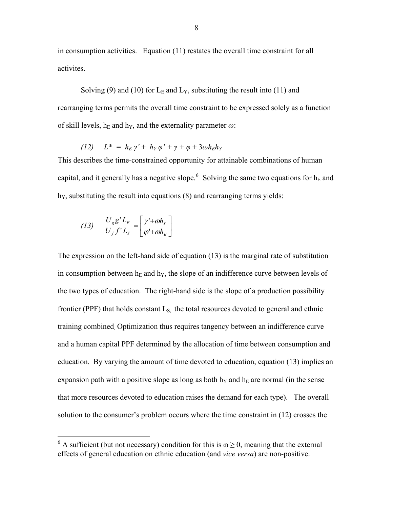in consumption activities. Equation (11) restates the overall time constraint for all activites.

Solving (9) and (10) for  $L_E$  and  $L_Y$ , substituting the result into (11) and rearranging terms permits the overall time constraint to be expressed solely as a function of skill levels,  $h_E$  and  $h_Y$ , and the externality parameter  $\omega$ :

$$
(12) \quad L^* = h_E \gamma' + h_Y \varphi' + \gamma + \varphi + 3\omega h_E h_Y
$$

This describes the time-constrained opportunity for attainable combinations of human capital, and it generally has a negative slope.<sup>[6](#page-8-0)</sup> Solving the same two equations for  $h_E$  and  $h<sub>Y</sub>$ , substituting the result into equations (8) and rearranging terms yields:

$$
(13)\qquad \frac{U_g g' L_E}{U_f f' L_Y} = \left[ \frac{\gamma' + \omega h_Y}{\varphi' + \omega h_E} \right]
$$

 $\overline{a}$ 

The expression on the left-hand side of equation (13) is the marginal rate of substitution in consumption between  $h_E$  and  $h_Y$ , the slope of an indifference curve between levels of the two types of education. The right-hand side is the slope of a production possibility frontier (PPF) that holds constant  $L<sub>S</sub>$ , the total resources devoted to general and ethnic training combined. Optimization thus requires tangency between an indifference curve and a human capital PPF determined by the allocation of time between consumption and education. By varying the amount of time devoted to education, equation (13) implies an expansion path with a positive slope as long as both  $h<sub>Y</sub>$  and  $h<sub>E</sub>$  are normal (in the sense that more resources devoted to education raises the demand for each type). The overall solution to the consumer's problem occurs where the time constraint in (12) crosses the

<span id="page-8-0"></span><sup>&</sup>lt;sup>6</sup> A sufficient (but not necessary) condition for this is  $\omega \ge 0$ , meaning that the external effects of general education on ethnic education (and *vice versa*) are non-positive.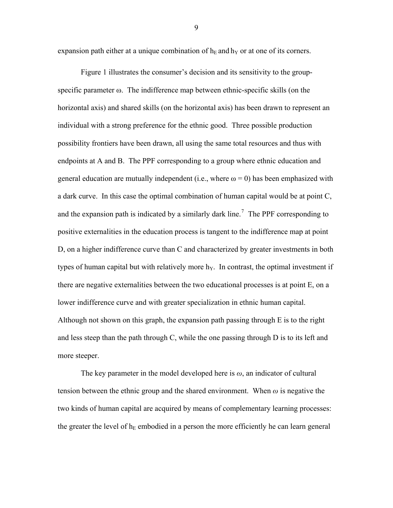expansion path either at a unique combination of  $h_E$  and  $h_Y$  or at one of its corners.

Figure 1 illustrates the consumer's decision and its sensitivity to the groupspecific parameter ω. The indifference map between ethnic-specific skills (on the horizontal axis) and shared skills (on the horizontal axis) has been drawn to represent an individual with a strong preference for the ethnic good. Three possible production possibility frontiers have been drawn, all using the same total resources and thus with endpoints at A and B. The PPF corresponding to a group where ethnic education and general education are mutually independent (i.e., where  $\omega = 0$ ) has been emphasized with a dark curve. In this case the optimal combination of human capital would be at point C, and the expansion path is indicated by a similarly dark line.<sup>[7](#page-9-0)</sup> The PPF corresponding to positive externalities in the education process is tangent to the indifference map at point D, on a higher indifference curve than C and characterized by greater investments in both types of human capital but with relatively more  $h<sub>Y</sub>$ . In contrast, the optimal investment if there are negative externalities between the two educational processes is at point E, on a lower indifference curve and with greater specialization in ethnic human capital. Although not shown on this graph, the expansion path passing through E is to the right and less steep than the path through C, while the one passing through D is to its left and more steeper.

<span id="page-9-0"></span>The key parameter in the model developed here is *ω*, an indicator of cultural tension between the ethnic group and the shared environment. When  $\omega$  is negative the two kinds of human capital are acquired by means of complementary learning processes: the greater the level of  $h_E$  embodied in a person the more efficiently he can learn general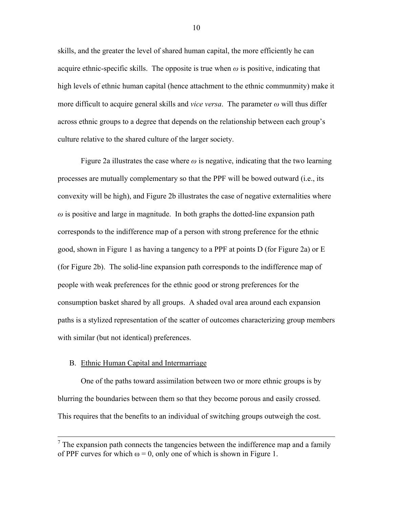skills, and the greater the level of shared human capital, the more efficiently he can acquire ethnic-specific skills. The opposite is true when  $\omega$  is positive, indicating that high levels of ethnic human capital (hence attachment to the ethnic communmity) make it more difficult to acquire general skills and *vice versa*. The parameter *ω* will thus differ across ethnic groups to a degree that depends on the relationship between each group's culture relative to the shared culture of the larger society.

Figure 2a illustrates the case where  $\omega$  is negative, indicating that the two learning processes are mutually complementary so that the PPF will be bowed outward (i.e., its convexity will be high), and Figure 2b illustrates the case of negative externalities where  $\omega$  is positive and large in magnitude. In both graphs the dotted-line expansion path corresponds to the indifference map of a person with strong preference for the ethnic good, shown in Figure 1 as having a tangency to a PPF at points D (for Figure 2a) or E (for Figure 2b). The solid-line expansion path corresponds to the indifference map of people with weak preferences for the ethnic good or strong preferences for the consumption basket shared by all groups. A shaded oval area around each expansion paths is a stylized representation of the scatter of outcomes characterizing group members with similar (but not identical) preferences.

### B. Ethnic Human Capital and Intermarriage

One of the paths toward assimilation between two or more ethnic groups is by blurring the boundaries between them so that they become porous and easily crossed. This requires that the benefits to an individual of switching groups outweigh the cost.

 $<sup>7</sup>$  The expansion path connects the tangencies between the indifference map and a family</sup> of PPF curves for which  $\omega = 0$ , only one of which is shown in Figure 1.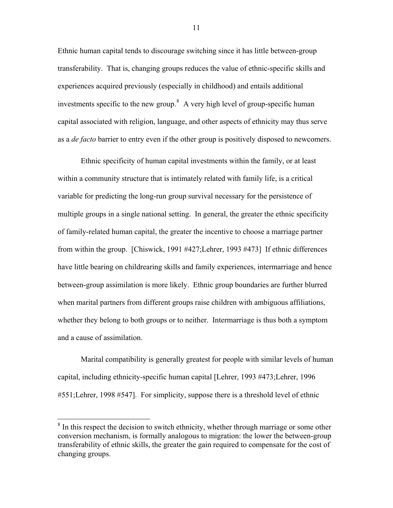<span id="page-11-0"></span>Ethnic human capital tends to discourage switching since it has little between-group transferability. That is, changing groups reduces the value of ethnic-specific skills and experiences acquired previously (especially in childhood) and entails additional investments specific to the new group. $8$  A very high level of group-specific human capital associated with religion, language, and other aspects of ethnicity may thus serve as a *de facto* barrier to entry even if the other group is positively disposed to newcomers.

Ethnic specificity of human capital investments within the family, or at least within a community structure that is intimately related with family life, is a critical variable for predicting the long-run group survival necessary for the persistence of multiple groups in a single national setting. In general, the greater the ethnic specificity of family-related human capital, the greater the incentive to choose a marriage partner from within the group. [Chiswick, 1991 #427;Lehrer, 1993 #473] If ethnic differences have little bearing on childrearing skills and family experiences, intermarriage and hence between-group assimilation is more likely. Ethnic group boundaries are further blurred when marital partners from different groups raise children with ambiguous affiliations, whether they belong to both groups or to neither. Intermarriage is thus both a symptom and a cause of assimilation.

Marital compatibility is generally greatest for people with similar levels of human capital, including ethnicity-specific human capital [Lehrer, 1993 #473;Lehrer, 1996 #551;Lehrer, 1998 #547]. For simplicity, suppose there is a threshold level of ethnic

<sup>&</sup>lt;sup>8</sup> In this respect the decision to switch ethnicity, whether through marriage or some other conversion mechanism, is formally analogous to migration: the lower the between-group transferability of ethnic skills, the greater the gain required to compensate for the cost of changing groups.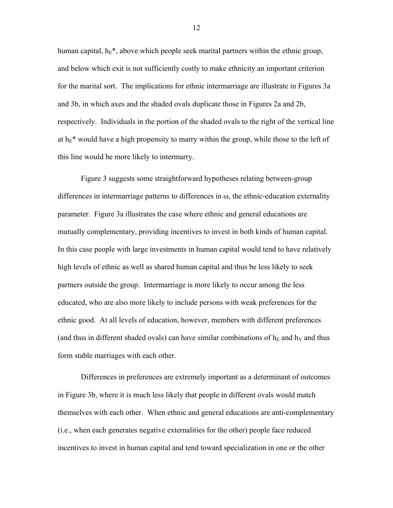human capital,  $h_E^*$ , above which people seek marital partners within the ethnic group, and below which exit is not sufficiently costly to make ethnicity an important criterion for the marital sort. The implications for ethnic intermarriage are illustrate in Figures 3a and 3b, in which axes and the shaded ovals duplicate those in Figures 2a and 2b, respectively. Individuals in the portion of the shaded ovals to the right of the vertical line at  $h_E^*$  would have a high propensity to marry within the group, while those to the left of this line would be more likely to intermarry.

Figure 3 suggests some straightforward hypotheses relating between-group differences in intermarriage patterns to differences in  $\omega$ , the ethnic-education externality parameter. Figure 3a illustrates the case where ethnic and general educations are mutually complementary, providing incentives to invest in both kinds of human capital. In this case people with large investments in human capital would tend to have relatively high levels of ethnic as well as shared human capital and thus be less likely to seek partners outside the group. Intermarriage is more likely to occur among the less educated, who are also more likely to include persons with weak preferences for the ethnic good. At all levels of education, however, members with different preferences (and thus in different shaded ovals) can have similar combinations of  $h_E$  and  $h_Y$  and thus form stable marriages with each other.

Differences in preferences are extremely important as a determinant of outcomes in Figure 3b, where it is much less likely that people in different ovals would match themselves with each other. When ethnic and general educations are anti-complementary (i.e., when each generates negative externalities for the other) people face reduced incentives to invest in human capital and tend toward specialization in one or the other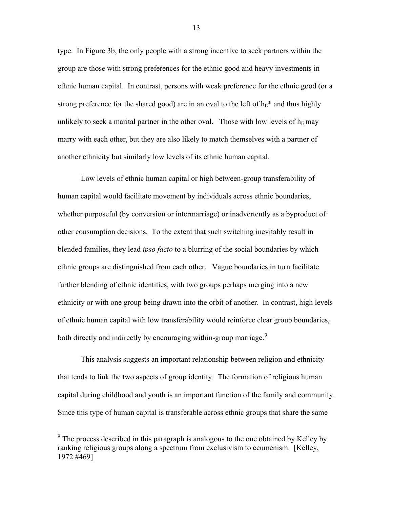type. In Figure 3b, the only people with a strong incentive to seek partners within the group are those with strong preferences for the ethnic good and heavy investments in ethnic human capital. In contrast, persons with weak preference for the ethnic good (or a strong preference for the shared good) are in an oval to the left of  $h_E^*$  and thus highly unlikely to seek a marital partner in the other oval. Those with low levels of  $h<sub>E</sub>$  may marry with each other, but they are also likely to match themselves with a partner of another ethnicity but similarly low levels of its ethnic human capital.

Low levels of ethnic human capital or high between-group transferability of human capital would facilitate movement by individuals across ethnic boundaries, whether purposeful (by conversion or intermarriage) or inadvertently as a byproduct of other consumption decisions. To the extent that such switching inevitably result in blended families, they lead *ipso facto* to a blurring of the social boundaries by which ethnic groups are distinguished from each other. Vague boundaries in turn facilitate further blending of ethnic identities, with two groups perhaps merging into a new ethnicity or with one group being drawn into the orbit of another. In contrast, high levels of ethnic human capital with low transferability would reinforce clear group boundaries, both directly and indirectly by encouraging within-group marriage.<sup>[9](#page-13-0)</sup>

This analysis suggests an important relationship between religion and ethnicity that tends to link the two aspects of group identity. The formation of religious human capital during childhood and youth is an important function of the family and community. Since this type of human capital is transferable across ethnic groups that share the same

<span id="page-13-0"></span><sup>&</sup>lt;sup>9</sup> The process described in this paragraph is analogous to the one obtained by Kelley by ranking religious groups along a spectrum from exclusivism to ecumenism. [Kelley, 1972 #469]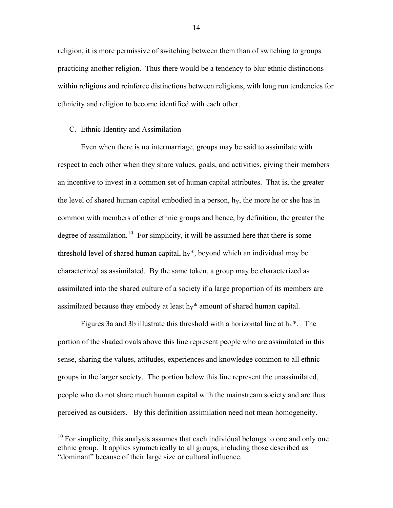religion, it is more permissive of switching between them than of switching to groups practicing another religion. Thus there would be a tendency to blur ethnic distinctions within religions and reinforce distinctions between religions, with long run tendencies for ethnicity and religion to become identified with each other.

#### C. Ethnic Identity and Assimilation

 $\overline{a}$ 

Even when there is no intermarriage, groups may be said to assimilate with respect to each other when they share values, goals, and activities, giving their members an incentive to invest in a common set of human capital attributes. That is, the greater the level of shared human capital embodied in a person,  $h<sub>Y</sub>$ , the more he or she has in common with members of other ethnic groups and hence, by definition, the greater the degree of assimilation.<sup>[10](#page-14-0)</sup> For simplicity, it will be assumed here that there is some threshold level of shared human capital,  $h_Y^*$ , beyond which an individual may be characterized as assimilated. By the same token, a group may be characterized as assimilated into the shared culture of a society if a large proportion of its members are assimilated because they embody at least  $h<sub>Y</sub>$ <sup>\*</sup> amount of shared human capital.

Figures 3a and 3b illustrate this threshold with a horizontal line at  $h_Y^*$ . The portion of the shaded ovals above this line represent people who are assimilated in this sense, sharing the values, attitudes, experiences and knowledge common to all ethnic groups in the larger society. The portion below this line represent the unassimilated, people who do not share much human capital with the mainstream society and are thus perceived as outsiders. By this definition assimilation need not mean homogeneity.

<span id="page-14-0"></span> $10$  For simplicity, this analysis assumes that each individual belongs to one and only one ethnic group. It applies symmetrically to all groups, including those described as "dominant" because of their large size or cultural influence.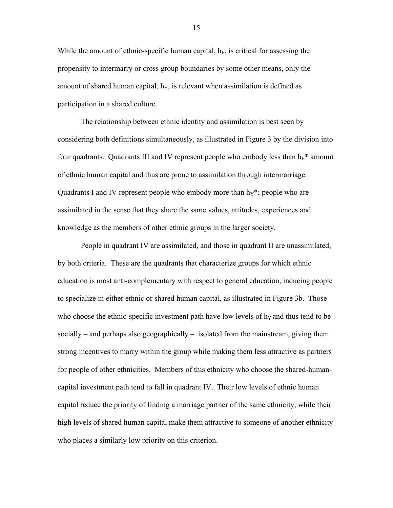While the amount of ethnic-specific human capital,  $h<sub>E</sub>$ , is critical for assessing the propensity to intermarry or cross group boundaries by some other means, only the amount of shared human capital,  $h<sub>Y</sub>$ , is relevant when assimilation is defined as participation in a shared culture.

The relationship between ethnic identity and assimilation is best seen by considering both definitions simultaneously, as illustrated in Figure 3 by the division into four quadrants. Quadrants III and IV represent people who embody less than  $h_E^*$  amount of ethnic human capital and thus are prone to assimilation through intermarriage. Quadrants I and IV represent people who embody more than  $h_Y^*$ ; people who are assimilated in the sense that they share the same values, attitudes, experiences and knowledge as the members of other ethnic groups in the larger society.

People in quadrant IV are assimilated, and those in quadrant II are unassimilated, by both criteria. These are the quadrants that characterize groups for which ethnic education is most anti-complementary with respect to general education, inducing people to specialize in either ethnic or shared human capital, as illustrated in Figure 3b. Those who choose the ethnic-specific investment path have low levels of  $h<sub>Y</sub>$  and thus tend to be socially – and perhaps also geographically – isolated from the mainstream, giving them strong incentives to marry within the group while making them less attractive as partners for people of other ethnicities. Members of this ethnicity who choose the shared-humancapital investment path tend to fall in quadrant IV. Their low levels of ethnic human capital reduce the priority of finding a marriage partner of the same ethnicity, while their high levels of shared human capital make them attractive to someone of another ethnicity who places a similarly low priority on this criterion.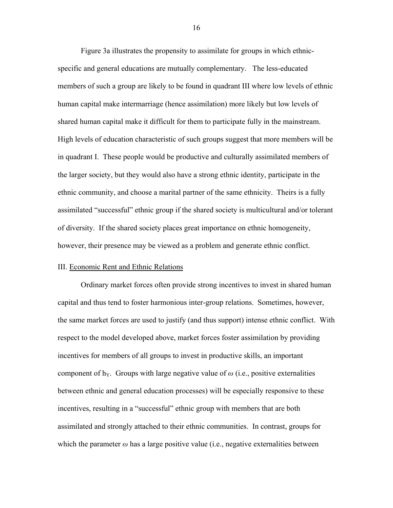Figure 3a illustrates the propensity to assimilate for groups in which ethnicspecific and general educations are mutually complementary. The less-educated members of such a group are likely to be found in quadrant III where low levels of ethnic human capital make intermarriage (hence assimilation) more likely but low levels of shared human capital make it difficult for them to participate fully in the mainstream. High levels of education characteristic of such groups suggest that more members will be in quadrant I. These people would be productive and culturally assimilated members of the larger society, but they would also have a strong ethnic identity, participate in the ethnic community, and choose a marital partner of the same ethnicity. Theirs is a fully assimilated "successful" ethnic group if the shared society is multicultural and/or tolerant of diversity. If the shared society places great importance on ethnic homogeneity, however, their presence may be viewed as a problem and generate ethnic conflict.

#### III. Economic Rent and Ethnic Relations

Ordinary market forces often provide strong incentives to invest in shared human capital and thus tend to foster harmonious inter-group relations. Sometimes, however, the same market forces are used to justify (and thus support) intense ethnic conflict. With respect to the model developed above, market forces foster assimilation by providing incentives for members of all groups to invest in productive skills, an important component of h<sub>Y</sub>. Groups with large negative value of  $\omega$  (i.e., positive externalities between ethnic and general education processes) will be especially responsive to these incentives, resulting in a "successful" ethnic group with members that are both assimilated and strongly attached to their ethnic communities. In contrast, groups for which the parameter  $\omega$  has a large positive value (i.e., negative externalities between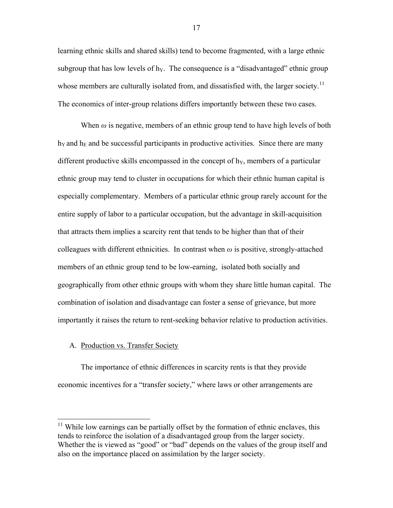learning ethnic skills and shared skills) tend to become fragmented, with a large ethnic subgroup that has low levels of  $h<sub>Y</sub>$ . The consequence is a "disadvantaged" ethnic group whose members are culturally isolated from, and dissatisfied with, the larger society.<sup>[11](#page-17-0)</sup> The economics of inter-group relations differs importantly between these two cases.

When  $\omega$  is negative, members of an ethnic group tend to have high levels of both  $h<sub>Y</sub>$  and  $h<sub>E</sub>$  and be successful participants in productive activities. Since there are many different productive skills encompassed in the concept of  $h<sub>Y</sub>$ , members of a particular ethnic group may tend to cluster in occupations for which their ethnic human capital is especially complementary. Members of a particular ethnic group rarely account for the entire supply of labor to a particular occupation, but the advantage in skill-acquisition that attracts them implies a scarcity rent that tends to be higher than that of their colleagues with different ethnicities. In contrast when  $\omega$  is positive, strongly-attached members of an ethnic group tend to be low-earning, isolated both socially and geographically from other ethnic groups with whom they share little human capital. The combination of isolation and disadvantage can foster a sense of grievance, but more importantly it raises the return to rent-seeking behavior relative to production activities.

# A. Production vs. Transfer Society

 $\overline{a}$ 

The importance of ethnic differences in scarcity rents is that they provide economic incentives for a "transfer society," where laws or other arrangements are

<span id="page-17-0"></span> $11$  While low earnings can be partially offset by the formation of ethnic enclaves, this tends to reinforce the isolation of a disadvantaged group from the larger society. Whether the is viewed as "good" or "bad" depends on the values of the group itself and also on the importance placed on assimilation by the larger society.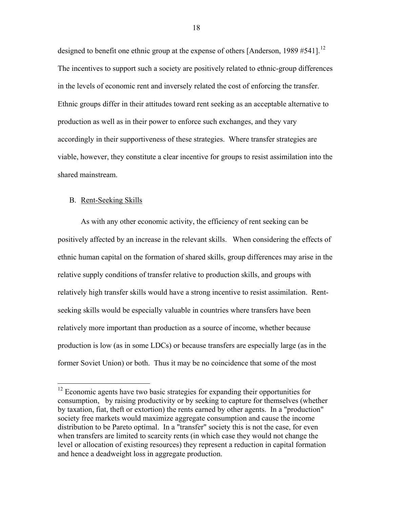designed to benefit one ethnic group at the expense of others [Anderson, 1989 #541].<sup>[12](#page-18-0)</sup> The incentives to support such a society are positively related to ethnic-group differences in the levels of economic rent and inversely related the cost of enforcing the transfer. Ethnic groups differ in their attitudes toward rent seeking as an acceptable alternative to production as well as in their power to enforce such exchanges, and they vary accordingly in their supportiveness of these strategies. Where transfer strategies are viable, however, they constitute a clear incentive for groups to resist assimilation into the shared mainstream.

## B. Rent-Seeking Skills

 $\overline{a}$ 

As with any other economic activity, the efficiency of rent seeking can be positively affected by an increase in the relevant skills. When considering the effects of ethnic human capital on the formation of shared skills, group differences may arise in the relative supply conditions of transfer relative to production skills, and groups with relatively high transfer skills would have a strong incentive to resist assimilation. Rentseeking skills would be especially valuable in countries where transfers have been relatively more important than production as a source of income, whether because production is low (as in some LDCs) or because transfers are especially large (as in the former Soviet Union) or both. Thus it may be no coincidence that some of the most

<span id="page-18-0"></span><sup>&</sup>lt;sup>12</sup> Economic agents have two basic strategies for expanding their opportunities for consumption, by raising productivity or by seeking to capture for themselves (whether by taxation, fiat, theft or extortion) the rents earned by other agents. In a "production" society free markets would maximize aggregate consumption and cause the income distribution to be Pareto optimal. In a "transfer" society this is not the case, for even when transfers are limited to scarcity rents (in which case they would not change the level or allocation of existing resources) they represent a reduction in capital formation and hence a deadweight loss in aggregate production.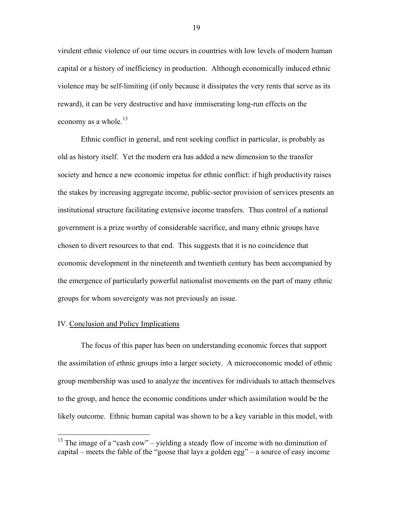virulent ethnic violence of our time occurs in countries with low levels of modern human capital or a history of inefficiency in production. Although economically induced ethnic violence may be self-limiting (if only because it dissipates the very rents that serve as its reward), it can be very destructive and have immiserating long-run effects on the economy as a whole. $^{13}$  $^{13}$  $^{13}$ 

Ethnic conflict in general, and rent seeking conflict in particular, is probably as old as history itself. Yet the modern era has added a new dimension to the transfer society and hence a new economic impetus for ethnic conflict: if high productivity raises the stakes by increasing aggregate income, public-sector provision of services presents an institutional structure facilitating extensive income transfers. Thus control of a national government is a prize worthy of considerable sacrifice, and many ethnic groups have chosen to divert resources to that end. This suggests that it is no coincidence that economic development in the nineteenth and twentieth century has been accompanied by the emergence of particularly powerful nationalist movements on the part of many ethnic groups for whom sovereignty was not previously an issue.

#### IV. Conclusion and Policy Implications

 $\overline{a}$ 

The focus of this paper has been on understanding economic forces that support the assimilation of ethnic groups into a larger society. A microeconomic model of ethnic group membership was used to analyze the incentives for individuals to attach themselves to the group, and hence the economic conditions under which assimilation would be the likely outcome. Ethnic human capital was shown to be a key variable in this model, with

<span id="page-19-0"></span><sup>&</sup>lt;sup>13</sup> The image of a "cash cow" – yielding a steady flow of income with no diminution of capital – meets the fable of the "goose that lays a golden egg" – a source of easy income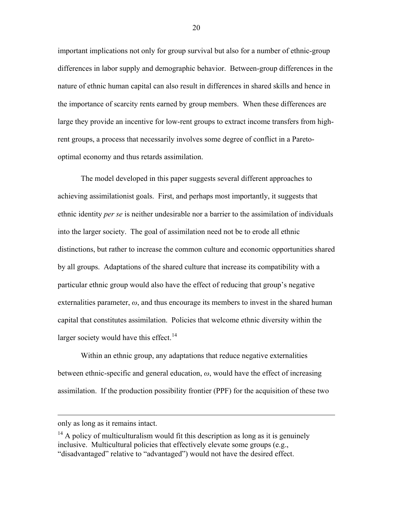important implications not only for group survival but also for a number of ethnic-group differences in labor supply and demographic behavior. Between-group differences in the nature of ethnic human capital can also result in differences in shared skills and hence in the importance of scarcity rents earned by group members. When these differences are large they provide an incentive for low-rent groups to extract income transfers from highrent groups, a process that necessarily involves some degree of conflict in a Paretooptimal economy and thus retards assimilation.

The model developed in this paper suggests several different approaches to achieving assimilationist goals. First, and perhaps most importantly, it suggests that ethnic identity *per se* is neither undesirable nor a barrier to the assimilation of individuals into the larger society. The goal of assimilation need not be to erode all ethnic distinctions, but rather to increase the common culture and economic opportunities shared by all groups. Adaptations of the shared culture that increase its compatibility with a particular ethnic group would also have the effect of reducing that group's negative externalities parameter,  $\omega$ , and thus encourage its members to invest in the shared human capital that constitutes assimilation. Policies that welcome ethnic diversity within the larger society would have this effect.<sup>[14](#page-20-0)</sup>

Within an ethnic group, any adaptations that reduce negative externalities between ethnic-specific and general education, *ω*, would have the effect of increasing assimilation. If the production possibility frontier (PPF) for the acquisition of these two

 $\overline{a}$ 

only as long as it remains intact.

<span id="page-20-0"></span> $14$  A policy of multiculturalism would fit this description as long as it is genuinely inclusive. Multicultural policies that effectively elevate some groups (e.g., "disadvantaged" relative to "advantaged") would not have the desired effect.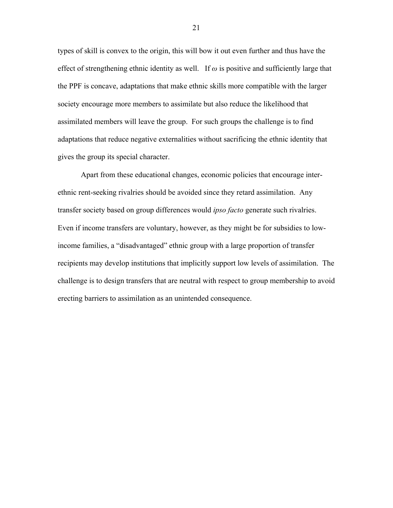types of skill is convex to the origin, this will bow it out even further and thus have the effect of strengthening ethnic identity as well. If  $\omega$  is positive and sufficiently large that the PPF is concave, adaptations that make ethnic skills more compatible with the larger society encourage more members to assimilate but also reduce the likelihood that assimilated members will leave the group. For such groups the challenge is to find adaptations that reduce negative externalities without sacrificing the ethnic identity that gives the group its special character.

Apart from these educational changes, economic policies that encourage interethnic rent-seeking rivalries should be avoided since they retard assimilation. Any transfer society based on group differences would *ipso facto* generate such rivalries. Even if income transfers are voluntary, however, as they might be for subsidies to lowincome families, a "disadvantaged" ethnic group with a large proportion of transfer recipients may develop institutions that implicitly support low levels of assimilation. The challenge is to design transfers that are neutral with respect to group membership to avoid erecting barriers to assimilation as an unintended consequence.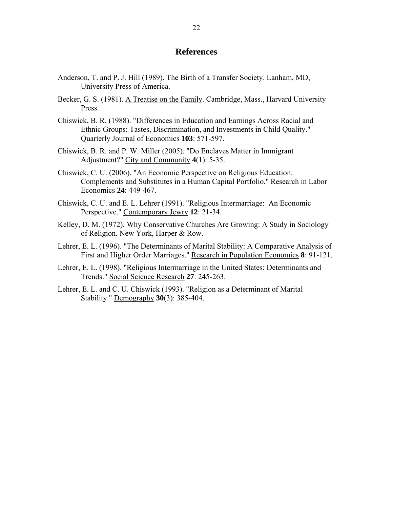# **References**

- Anderson, T. and P. J. Hill (1989). The Birth of a Transfer Society. Lanham, MD, University Press of America.
- Becker, G. S. (1981). A Treatise on the Family. Cambridge, Mass., Harvard University Press.
- Chiswick, B. R. (1988). "Differences in Education and Earnings Across Racial and Ethnic Groups: Tastes, Discrimination, and Investments in Child Quality." Quarterly Journal of Economics **103**: 571-597.
- Chiswick, B. R. and P. W. Miller (2005). "Do Enclaves Matter in Immigrant Adjustment?" City and Community **4**(1): 5-35.
- Chiswick, C. U. (2006). "An Economic Perspective on Religious Education: Complements and Substitutes in a Human Capital Portfolio." Research in Labor Economics **24**: 449-467.
- Chiswick, C. U. and E. L. Lehrer (1991). "Religious Intermarriage: An Economic Perspective." Contemporary Jewry **12**: 21-34.
- Kelley, D. M. (1972). Why Conservative Churches Are Growing: A Study in Sociology of Religion. New York, Harper & Row.
- Lehrer, E. L. (1996). "The Determinants of Marital Stability: A Comparative Analysis of First and Higher Order Marriages." Research in Population Economics **8**: 91-121.
- Lehrer, E. L. (1998). "Religious Intermarriage in the United States: Determinants and Trends." Social Science Research **27**: 245-263.
- Lehrer, E. L. and C. U. Chiswick (1993). "Religion as a Determinant of Marital Stability." Demography **30**(3): 385-404.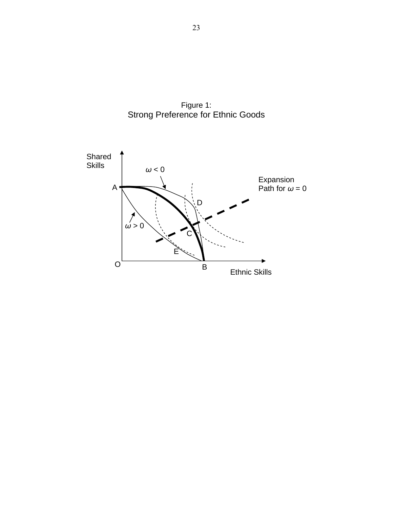

Figure 1: Strong Preference for Ethnic Goods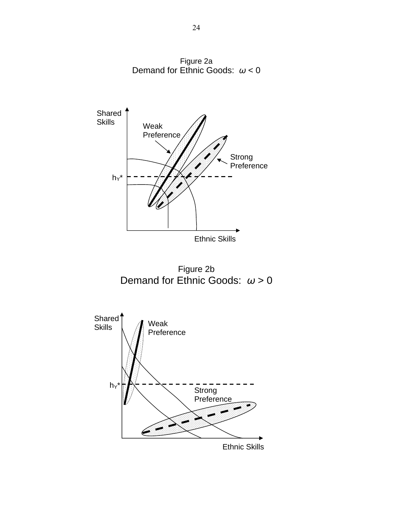

Figure 2a Demand for Ethnic Goods: *ω* < 0

Ethnic Skills

Figure 2b Demand for Ethnic Goods: *ω* > 0